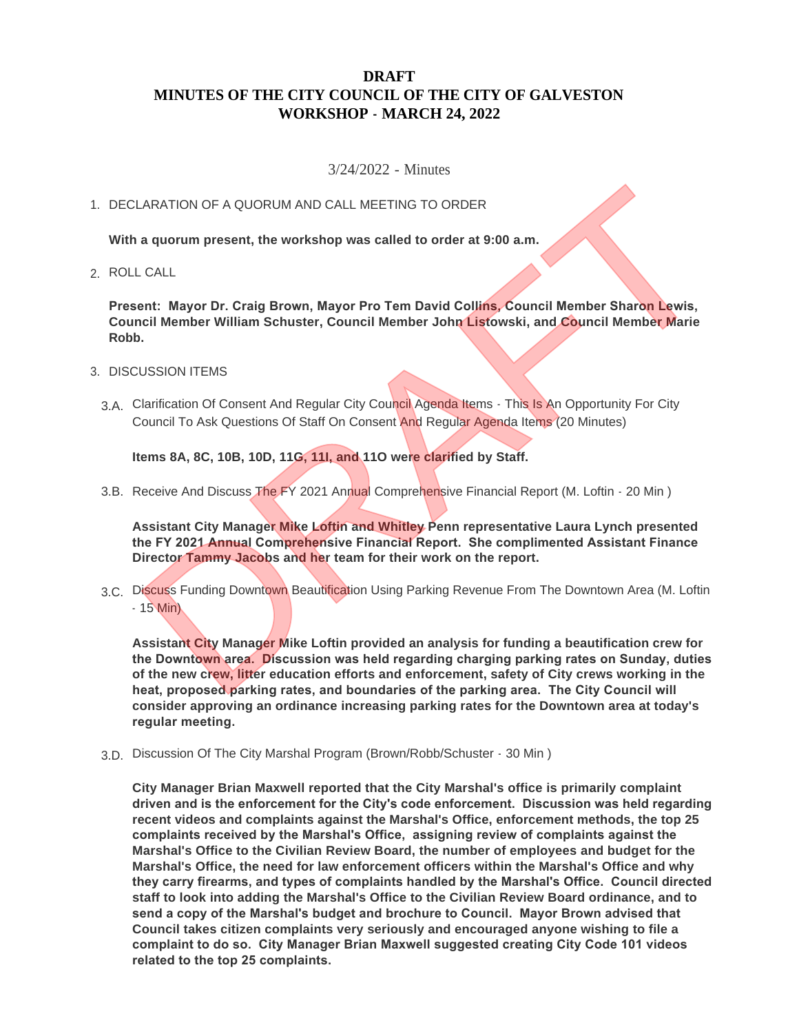## **DRAFT MINUTES OF THE CITY COUNCIL OF THE CITY OF GALVESTON WORKSHOP - MARCH 24, 2022**

## 3/24/2022 - Minutes

## 1. DECLARATION OF A QUORUM AND CALL MEETING TO ORDER

**With a quorum present, the workshop was called to order at 9:00 a.m.**

ROLL CALL 2.

**Present: Mayor Dr. Craig Brown, Mayor Pro Tem David Collins, Council Member Sharon Lewis, Council Member William Schuster, Council Member John Listowski, and Council Member Marie Robb.**

- 3. DISCUSSION ITEMS
	- 3.A. Clarification Of Consent And Regular City Cou<mark>nci</mark>l Agenda Items This Is An Opportunity For City Council To Ask Questions Of Staff On Consent And Regular Agenda Items (20 Minutes)

**Items 8A, 8C, 10B, 10D, 11G, 11I, and 11O were clarified by Staff.**

3.B. Receive And Discuss The FY 2021 Annual Comprehensive Financial Report (M. Loftin - 20 Min )

**Assistant City Manager Mike Loftin and Whitley Penn representative Laura Lynch presented the FY 2021 Annual Comprehensive Financial Report. She complimented Assistant Finance Director Tammy Jacobs and her team for their work on the report.**

3.C. Discuss Funding Downtown Beautification Using Parking Revenue From The Downtown Area (M. Loftin - 15 Min)

**Assistant City Manager Mike Loftin provided an analysis for funding a beautification crew for the Downtown area. Discussion was held regarding charging parking rates on Sunday, duties of the new crew, litter education efforts and enforcement, safety of City crews working in the heat, proposed parking rates, and boundaries of the parking area. The City Council will consider approving an ordinance increasing parking rates for the Downtown area at today's regular meeting.**  LARATION OF A QUORUM AND CALL MEETING TO ORDER<br>
a quorum present, the workshop was called to order at 9:00 a.m.<br>
CALL<br>
nont: Mayor Dr. Craig Brown, Mayor Pro Tem David Collins, Council Member Sharon Lewis,<br>
U.S.SION ITEMS<br>

3.D. Discussion Of The City Marshal Program (Brown/Robb/Schuster - 30 Min)

**City Manager Brian Maxwell reported that the City Marshal's office is primarily complaint driven and is the enforcement for the City's code enforcement. Discussion was held regarding recent videos and complaints against the Marshal's Office, enforcement methods, the top 25 complaints received by the Marshal's Office, assigning review of complaints against the Marshal's Office to the Civilian Review Board, the number of employees and budget for the Marshal's Office, the need for law enforcement officers within the Marshal's Office and why they carry firearms, and types of complaints handled by the Marshal's Office. Council directed staff to look into adding the Marshal's Office to the Civilian Review Board ordinance, and to send a copy of the Marshal's budget and brochure to Council. Mayor Brown advised that Council takes citizen complaints very seriously and encouraged anyone wishing to file a complaint to do so. City Manager Brian Maxwell suggested creating City Code 101 videos related to the top 25 complaints.**